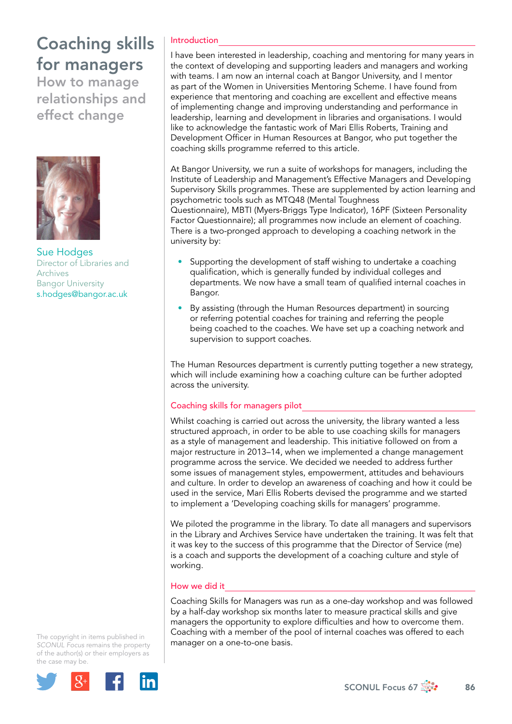# Coaching skills for managers

How to manage relationships and effect change



Sue Hodges Director of Libraries and Archives Bangor University [s.hodges@bangor.ac.uk](mailto:s.hodges@bangor.ac.uk)

## Introduction

I have been interested in leadership, coaching and mentoring for many years in the context of developing and supporting leaders and managers and working with teams. I am now an internal coach at Bangor University, and I mentor as part of the Women in Universities Mentoring Scheme. I have found from experience that mentoring and coaching are excellent and effective means of implementing change and improving understanding and performance in leadership, learning and development in libraries and organisations. I would like to acknowledge the fantastic work of Mari Ellis Roberts, Training and Development Officer in Human Resources at Bangor, who put together the coaching skills programme referred to this article.

At Bangor University, we run a suite of workshops for managers, including the Institute of Leadership and Management's Effective Managers and Developing Supervisory Skills programmes. These are supplemented by action learning and psychometric tools such as MTQ48 (Mental Toughness Questionnaire), MBTI (Myers-Briggs Type Indicator), 16PF (Sixteen Personality

Factor Questionnaire); all programmes now include an element of coaching. There is a two-pronged approach to developing a coaching network in the university by:

- Supporting the development of staff wishing to undertake a coaching qualification, which is generally funded by individual colleges and departments. We now have a small team of qualified internal coaches in Bangor.
- By assisting (through the Human Resources department) in sourcing or referring potential coaches for training and referring the people being coached to the coaches. We have set up a coaching network and supervision to support coaches.

The Human Resources department is currently putting together a new strategy, which will include examining how a coaching culture can be further adopted across the university.

## Coaching skills for managers pilot

Whilst coaching is carried out across the university, the library wanted a less structured approach, in order to be able to use coaching skills for managers as a style of management and leadership. This initiative followed on from a major restructure in 2013–14, when we implemented a change management programme across the service. We decided we needed to address further some issues of management styles, empowerment, attitudes and behaviours and culture. In order to develop an awareness of coaching and how it could be used in the service, Mari Ellis Roberts devised the programme and we started to implement a 'Developing coaching skills for managers' programme.

We piloted the programme in the library. To date all managers and supervisors in the Library and Archives Service have undertaken the training. It was felt that it was key to the success of this programme that the Director of Service (me) is a coach and supports the development of a coaching culture and style of working.

## How we did it

Coaching Skills for Managers was run as a one-day workshop and was followed by a half-day workshop six months later to measure practical skills and give managers the opportunity to explore difficulties and how to overcome them. Coaching with a member of the pool of internal coaches was offered to each manager on a one-to-one basis.

The copyright in items published in *SCONUL Focus* remains the property of the author(s) or their employers as the case may be.

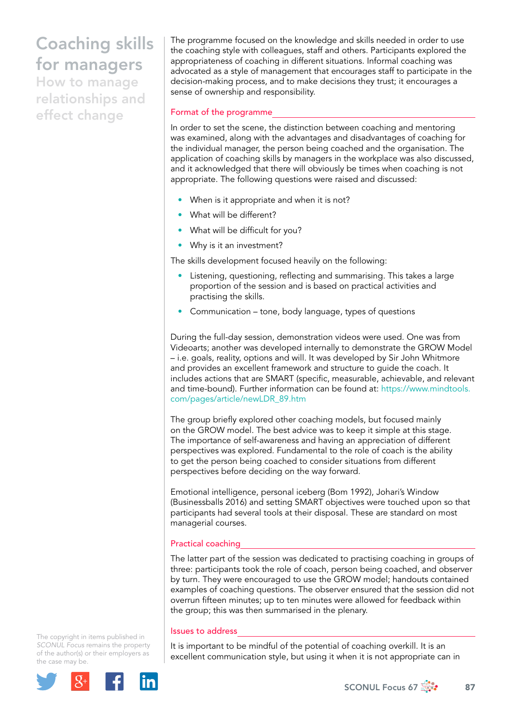# Coaching skills for managers

How to manage relationships and effect change

The programme focused on the knowledge and skills needed in order to use the coaching style with colleagues, staff and others. Participants explored the appropriateness of coaching in different situations. Informal coaching was advocated as a style of management that encourages staff to participate in the decision-making process, and to make decisions they trust; it encourages a sense of ownership and responsibility.

## Format of the programme

In order to set the scene, the distinction between coaching and mentoring was examined, along with the advantages and disadvantages of coaching for the individual manager, the person being coached and the organisation. The application of coaching skills by managers in the workplace was also discussed, and it acknowledged that there will obviously be times when coaching is not appropriate. The following questions were raised and discussed:

- When is it appropriate and when it is not?
- What will be different?
- What will be difficult for you?
- Why is it an investment?

The skills development focused heavily on the following:

- Listening, questioning, reflecting and summarising. This takes a large proportion of the session and is based on practical activities and practising the skills.
- Communication tone, body language, types of questions

During the full-day session, demonstration videos were used. One was from Videoarts; another was developed internally to demonstrate the GROW Model – i.e. goals, reality, options and will. It was developed by Sir John Whitmore and provides an excellent framework and structure to guide the coach. It includes actions that are SMART (specific, measurable, achievable, and relevant and time-bound). Further information can be found at: [https://www.mindtools.](https://www.mindtools.com/pages/article/newLDR_89.htm) [com/pages/article/newLDR\\_89.htm](https://www.mindtools.com/pages/article/newLDR_89.htm)

The group briefly explored other coaching models, but focused mainly on the GROW model. The best advice was to keep it simple at this stage. The importance of self-awareness and having an appreciation of different perspectives was explored. Fundamental to the role of coach is the ability to get the person being coached to consider situations from different perspectives before deciding on the way forward.

Emotional intelligence, personal iceberg (Bom 1992), Johari's Window (Businessballs 2016) and setting SMART objectives were touched upon so that participants had several tools at their disposal. These are standard on most managerial courses.

### Practical coaching

The latter part of the session was dedicated to practising coaching in groups of three: participants took the role of coach, person being coached, and observer by turn. They were encouraged to use the GROW model; handouts contained examples of coaching questions. The observer ensured that the session did not overrun fifteen minutes; up to ten minutes were allowed for feedback within the group; this was then summarised in the plenary.

#### Issues to address

It is important to be mindful of the potential of coaching overkill. It is an excellent communication style, but using it when it is not appropriate can in

The copyright in items published in *SCONUL Focus* remains the property of the author(s) or their employers as the case may be.



SCONUL Focus 67  $\frac{1}{200}$  87